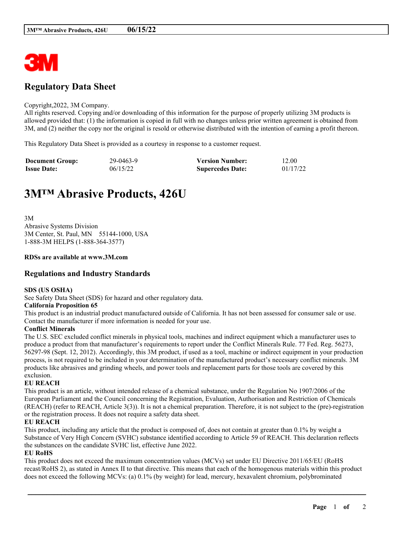

# **Regulatory Data Sheet**

# Copyright,2022, 3M Company.

All rights reserved. Copying and/or downloading of this information for the purpose of properly utilizing 3M products is allowed provided that: (1) the information is copied in full with no changes unless prior written agreement is obtained from 3M, and (2) neither the copy nor the original is resold or otherwise distributed with the intention of earning a profit thereon.

This Regulatory Data Sheet is provided as a courtesy in response to a customer request.

| <b>Document Group:</b> | 29-0463-9 | <b>Version Number:</b>  | 12.00    |
|------------------------|-----------|-------------------------|----------|
| <b>Issue Date:</b>     | 06/15/22  | <b>Supercedes Date:</b> | 01/17/22 |

# **3M™ Abrasive Products, 426U**

3M Abrasive Systems Division 3M Center, St. Paul, MN 55144-1000, USA 1-888-3M HELPS (1-888-364-3577)

# **RDSs are available at www.3M.com**

# **Regulations and Industry Standards**

# **SDS (US OSHA)**

See Safety Data Sheet (SDS) for hazard and other regulatory data.

# **California Proposition 65**

This product is an industrial product manufactured outside of California. It has not been assessed for consumer sale or use. Contact the manufacturer if more information is needed for your use.

# **Conflict Minerals**

The U.S. SEC excluded conflict minerals in physical tools, machines and indirect equipment which a manufacturer uses to produce a product from that manufacturer's requirements to report under the Conflict Minerals Rule. 77 Fed. Reg. 56273, 56297-98 (Sept. 12, 2012). Accordingly, this 3M product, if used as a tool, machine or indirect equipment in your production process, is not required to be included in your determination of the manufactured product's necessary conflict minerals. 3M products like abrasives and grinding wheels, and power tools and replacement parts for those tools are covered by this exclusion.

# **EU REACH**

This product is an article, without intended release of a chemical substance, under the Regulation No 1907/2006 of the European Parliament and the Council concerning the Registration, Evaluation, Authorisation and Restriction of Chemicals (REACH) (refer to REACH, Article 3(3)). It is not a chemical preparation. Therefore, it is not subject to the (pre)-registration or the registration process. It does not require a safety data sheet.

# **EU REACH**

This product, including any article that the product is composed of, does not contain at greater than 0.1% by weight a Substance of Very High Concern (SVHC) substance identified according to Article 59 of REACH. This declaration reflects the substances on the candidate SVHC list, effective June 2022.

# **EU RoHS**

This product does not exceed the maximum concentration values (MCVs) set under EU Directive 2011/65/EU (RoHS recast/RoHS 2), as stated in Annex II to that directive. This means that each of the homogenous materials within this product does not exceed the following MCVs: (a) 0.1% (by weight) for lead, mercury, hexavalent chromium, polybrominated

\_\_\_\_\_\_\_\_\_\_\_\_\_\_\_\_\_\_\_\_\_\_\_\_\_\_\_\_\_\_\_\_\_\_\_\_\_\_\_\_\_\_\_\_\_\_\_\_\_\_\_\_\_\_\_\_\_\_\_\_\_\_\_\_\_\_\_\_\_\_\_\_\_\_\_\_\_\_\_\_\_\_\_\_\_\_\_\_\_\_